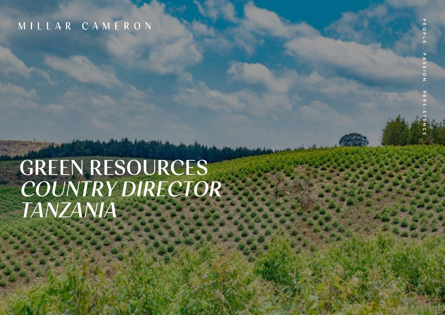### MILLAR CAMERON

# GREEN RESOURCES COUNTRY DIRECTOR TANZANIA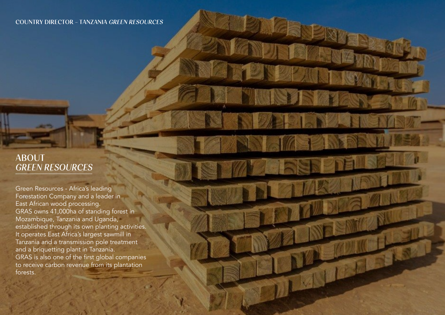#### ABOUT GREEN RESOURCES

Green Resources - Africa's leading Forestation Company and a leader in East African wood processing. GRAS owns 41,000ha of standing forest in Mozambique, Tanzania and Uganda, established through its own planting activities. It operates East Africa's largest sawmill in Tanzania and a transmission pole treatment and a briquetting plant in Tanzania. GRAS is also one of the first global companies to receive carbon revenue from its plantation forests.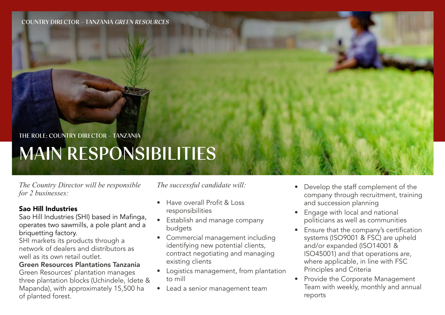### MAIN RESPONSIBILITIES THE ROLE: COUNTRY DIRECTOR - TANZANIA

*The Country Director will be responsible for 2 businesses:*

#### Sao Hill Industries

Sao Hill Industries (SHI) based in Mafinga, operates two sawmills, a pole plant and a briquetting factory.

SHI markets its products through a network of dealers and distributors as well as its own retail outlet.

#### Green Resources Plantations Tanzania

Green Resources' plantation manages three plantation blocks (Uchindele, Idete & Mapanda), with approximately 15,500 ha of planted forest.

*The successful candidate will:*

- Have overall Profit & Loss responsibilities
- Establish and manage company budgets
- Commercial management including identifying new potential clients, contract negotiating and managing existing clients
- Logistics management, from plantation to mill
- Lead a senior management team
- Develop the staff complement of the company through recruitment, training and succession planning
- Engage with local and national politicians as well as communities
- Ensure that the company's certification systems (ISO9001 & FSC) are upheld and/or expanded (ISO14001 & ISO45001) and that operations are, where applicable, in line with FSC Principles and Criteria
- Provide the Corporate Management Team with weekly, monthly and annual reports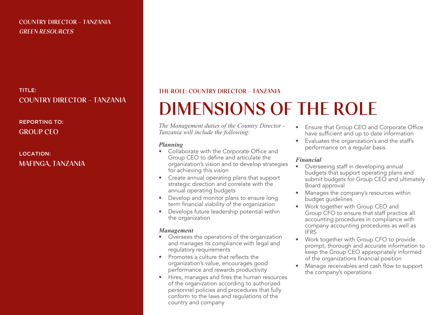#### TITLE: COUNTRY DIRECTOR - TANZANIA

#### REPORTING TO: GROUP CEO

#### LOCATION: MAFINGA, TANZANIA

#### THE ROLE: COUNTRY DIRECTOR - TANZANIA

## DIMENSIONS OF THE ROLE

*The Management duties of the Country Director - Tanzania will include the following:*

#### *Planning*

- Collaborate with the Corporate Office and Group CEO to define and articulate the organization's vision and to develop strategies for achieving this vision
- Create annual operating plans that support strategic direction and correlate with the annual operating budgets
- Develop and monitor plans to ensure long term financial viability of the organization
- Develops future leadership potential within the organization

#### *Management*

- Oversees the operations of the organization and manages its compliance with legal and regulatory requirements
- Promotes a culture that reflects the organization's value, encourages good performance and rewards productivity
- Hires, manages and fires the human resources of the organization according to authorized personnel policies and procedures that fully conform to the laws and regulations of the country and company
- Ensure that Group CEO and Corporate Office have sufficient and up to date information
- Evaluates the organization's and the staff's performance on a regular basis

#### *Financial*

- Overseeing staff in developing annual budgets that support operating plans and submit budgets for Group CEO and ultimately Board approval
- Manages the company's resources within budget quidelines
- Work together with Group CEO and Group CFO to ensure that staff practice all accounting procedures in compliance with company accounting procedures as well as IFRS
- Work together with Group CFO to provide prompt, thorough and accurate information to keep the Group CEO appropriately informed of the organizations financial position
- Manage receivables and cash flow to support the company's operations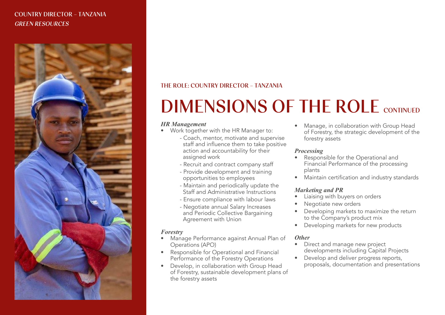

#### THE ROLE: COUNTRY DIRECTOR - TANZANIA

## DIMENSIONS OF THE ROLE CONTINUED

#### *HR Management*

- Work together with the HR Manager to:
	- Coach, mentor, motivate and supervise staff and influence them to take positive action and accountability for their assigned work
	- Recruit and contract company staff
	- Provide development and training opportunities to employees
	- Maintain and periodically update the Staff and Administrative Instructions
	- Ensure compliance with labour laws
	- Negotiate annual Salary Increases and Periodic Collective Bargaining Agreement with Union

#### *Forestry*

- Manage Performance against Annual Plan of Operations (APO)
- Responsible for Operational and Financial Performance of the Forestry Operations
- Develop, in collaboration with Group Head of Forestry, sustainable development plans of the forestry assets

• Manage, in collaboration with Group Head of Forestry, the strategic development of the forestry assets

#### *Processing*

- Responsible for the Operational and Financial Performance of the processing plants
- Maintain certification and industry standards

#### *Marketing and PR*

- Liaising with buyers on orders
- Negotiate new orders
- Developing markets to maximize the return to the Company's product mix
- Developing markets for new products

#### *Other*

- Direct and manage new project developments including Capital Projects
- Develop and deliver progress reports, proposals, documentation and presentations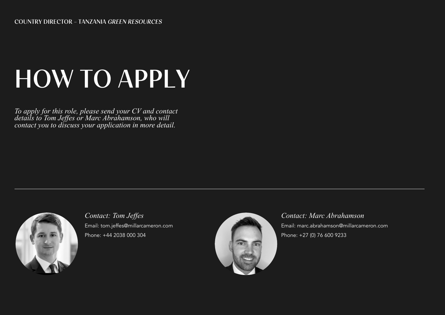# HOW TO APPLY

*To apply for this role, please send your CV and contact details to Tom Jeffes or Marc Abrahamson, who will contact you to discuss your application in more detail.*



*Contact: Tom Jeffes* Email: tom.jeffes@millarcameron.com Phone: +44 2038 000 304



*Contact: Marc Abrahamson* Email: marc.abrahamson@millarcameron.com Phone: +27 (0) 76 600 9233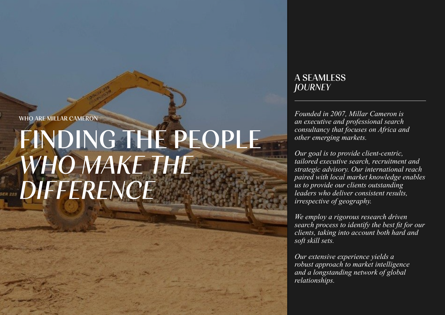# FINDING THE PEOPLE WHO MAKE THE **DIFFERENCE**

#### A SEAMLESS **JOURNEY**

WHO ARE MILLAR CAMERON *Founded in 2007, Millar Cameron is an executive and professional search consultancy that focuses on Africa and other emerging markets.*

> *Our goal is to provide client-centric, tailored executive search, recruitment and strategic advisory. Our international reach paired with local market knowledge enables us to provide our clients outstanding leaders who deliver consistent results, irrespective of geography.*

> *We employ a rigorous research driven search process to identify the best fit for our clients, taking into account both hard and soft skill sets.*

*Our extensive experience yields a robust approach to market intelligence and a longstanding network of global relationships.*